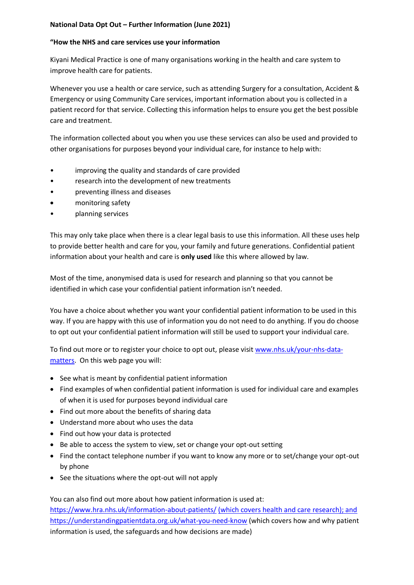## **National Data Opt Out – Further Information (June 2021)**

## **"How the NHS and care services use your information**

Kiyani Medical Practice is one of many organisations working in the health and care system to improve health care for patients.

Whenever you use a health or care service, such as attending Surgery for a consultation, Accident & Emergency or using Community Care services, important information about you is collected in a patient record for that service. Collecting this information helps to ensure you get the best possible care and treatment.

The information collected about you when you use these services can also be used and provided to other organisations for purposes beyond your individual care, for instance to help with:

- improving the quality and standards of care provided
- research into the development of new treatments
- preventing illness and diseases
- monitoring safety
- planning services

This may only take place when there is a clear legal basis to use this information. All these uses help to provide better health and care for you, your family and future generations. Confidential patient information about your health and care is **only used** like this where allowed by law.

Most of the time, anonymised data is used for research and planning so that you cannot be identified in which case your confidential patient information isn't needed.

You have a choice about whether you want your confidential patient information to be used in this way. If you are happy with this use of information you do not need to do anything. If you do choose to opt out your confidential patient information will still be used to support your individual care.

To find out more or to register your choice to opt out, please visit [www.nhs.uk/your-nhs-data](http://www.nhs.uk/your-nhs-data-matters)[matters.](http://www.nhs.uk/your-nhs-data-matters) On this web page you will:

- See what is meant by confidential patient information
- Find examples of when confidential patient information is used for individual care and examples of when it is used for purposes beyond individual care
- Find out more about the benefits of sharing data
- Understand more about who uses the data
- Find out how your data is protected
- Be able to access the system to view, set or change your opt-out setting
- Find the contact telephone number if you want to know any more or to set/change your opt-out by phone
- See the situations where the opt-out will not apply

You can also find out more about how patient information is used at: <https://www.hra.nhs.uk/information-about-patients/> (which covers health and care research); and <https://understandingpatientdata.org.uk/what-you-need-know> (which covers how and why patient information is used, the safeguards and how decisions are made)